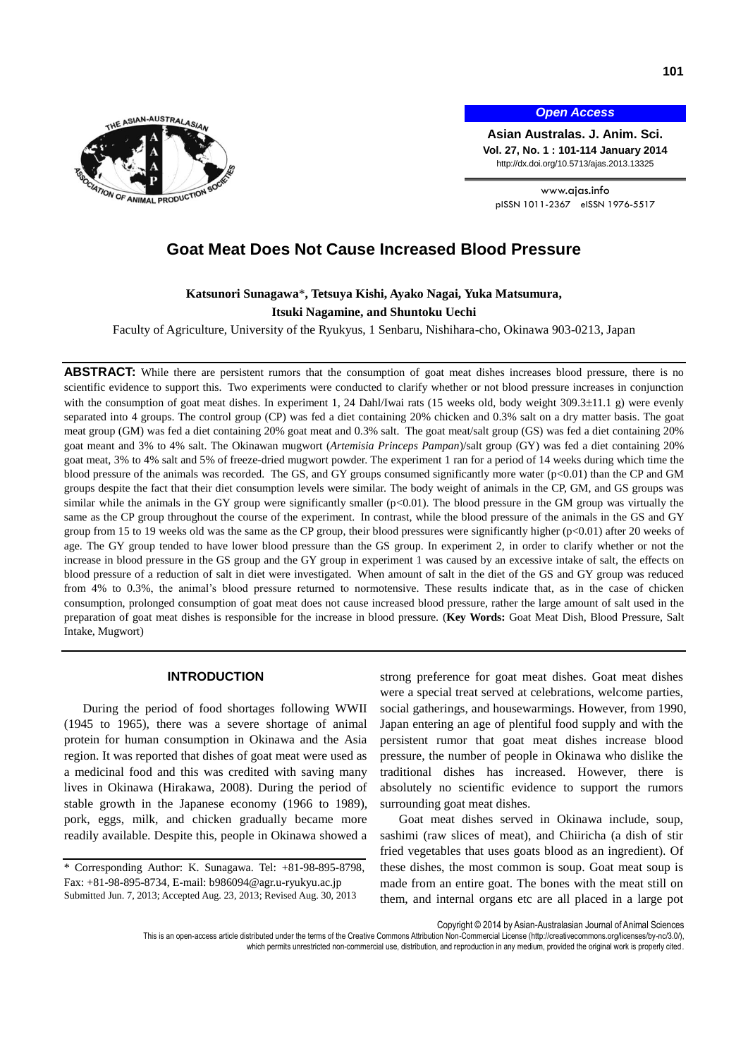

*Open Access*

**Asian Australas. J. Anim. Sci. Vol. 27, No. 1 : 101-114 January 2014** http://dx.doi.org/10.5713/ajas.2013.13325

www.ajas.info pISSN 1011-2367 eISSN 1976-5517

# **Goat Meat Does Not Cause Increased Blood Pressure**

# **Katsunori Sunagawa**\***, Tetsuya Kishi, Ayako Nagai, Yuka Matsumura, Itsuki Nagamine, and Shuntoku Uechi**

Faculty of Agriculture, University of the Ryukyus, 1 Senbaru, Nishihara-cho, Okinawa 903-0213, Japan

ABSTRACT: While there are persistent rumors that the consumption of goat meat dishes increases blood pressure, there is no scientific evidence to support this. Two experiments were conducted to clarify whether or not blood pressure increases in conjunction with the consumption of goat meat dishes. In experiment 1, 24 Dahl/Iwai rats (15 weeks old, body weight 309.3±11.1 g) were evenly separated into 4 groups. The control group (CP) was fed a diet containing 20% chicken and 0.3% salt on a dry matter basis. The goat meat group (GM) was fed a diet containing 20% goat meat and 0.3% salt. The goat meat/salt group (GS) was fed a diet containing 20% goat meant and 3% to 4% salt. The Okinawan mugwort (*Artemisia Princeps Pampan*)/salt group (GY) was fed a diet containing 20% goat meat, 3% to 4% salt and 5% of freeze-dried mugwort powder. The experiment 1 ran for a period of 14 weeks during which time the blood pressure of the animals was recorded. The GS, and GY groups consumed significantly more water (p<0.01) than the CP and GM groups despite the fact that their diet consumption levels were similar. The body weight of animals in the CP, GM, and GS groups was similar while the animals in the GY group were significantly smaller  $(p<0.01)$ . The blood pressure in the GM group was virtually the same as the CP group throughout the course of the experiment. In contrast, while the blood pressure of the animals in the GS and GY group from 15 to 19 weeks old was the same as the CP group, their blood pressures were significantly higher  $(p<0.01)$  after 20 weeks of age. The GY group tended to have lower blood pressure than the GS group. In experiment 2, in order to clarify whether or not the increase in blood pressure in the GS group and the GY group in experiment 1 was caused by an excessive intake of salt, the effects on blood pressure of a reduction of salt in diet were investigated. When amount of salt in the diet of the GS and GY group was reduced from 4% to 0.3%, the animal's blood pressure returned to normotensive. These results indicate that, as in the case of chicken consumption, prolonged consumption of goat meat does not cause increased blood pressure, rather the large amount of salt used in the preparation of goat meat dishes is responsible for the increase in blood pressure. (**Key Words:** Goat Meat Dish, Blood Pressure, Salt Intake, Mugwort)

#### **INTRODUCTION**

During the period of food shortages following WWII (1945 to 1965), there was a severe shortage of animal protein for human consumption in Okinawa and the Asia region. It was reported that dishes of goat meat were used as a medicinal food and this was credited with saving many lives in Okinawa (Hirakawa, 2008). During the period of stable growth in the Japanese economy (1966 to 1989), pork, eggs, milk, and chicken gradually became more readily available. Despite this, people in Okinawa showed a

strong preference for goat meat dishes. Goat meat dishes were a special treat served at celebrations, welcome parties, social gatherings, and housewarmings. However, from 1990, Japan entering an age of plentiful food supply and with the persistent rumor that goat meat dishes increase blood pressure, the number of people in Okinawa who dislike the traditional dishes has increased. However, there is absolutely no scientific evidence to support the rumors surrounding goat meat dishes.

Goat meat dishes served in Okinawa include, soup, sashimi (raw slices of meat), and Chiiricha (a dish of stir fried vegetables that uses goats blood as an ingredient). Of these dishes, the most common is soup. Goat meat soup is made from an entire goat. The bones with the meat still on them, and internal organs etc are all placed in a large pot

Copyright © 2014 by Asian-Australasian Journal of Animal Sciences

<sup>\*</sup> Corresponding Author: K. Sunagawa. Tel: +81-98-895-8798, Fax: +81-98-895-8734, E-mail: b986094@agr.u-ryukyu.ac.jp Submitted Jun. 7, 2013; Accepted Aug. 23, 2013; Revised Aug. 30, 2013

This is an open-access article distributed under the terms of the Creative Commons Attribution Non-Commercial License [\(http://creativecommons.org/licenses/by-nc/3.0/\),](http://creativecommons.org/licenses/by-nc/3.0/) which permits unrestricted non-commercial use, distribution, and reproduction in any medium, provided the original work is properly cited.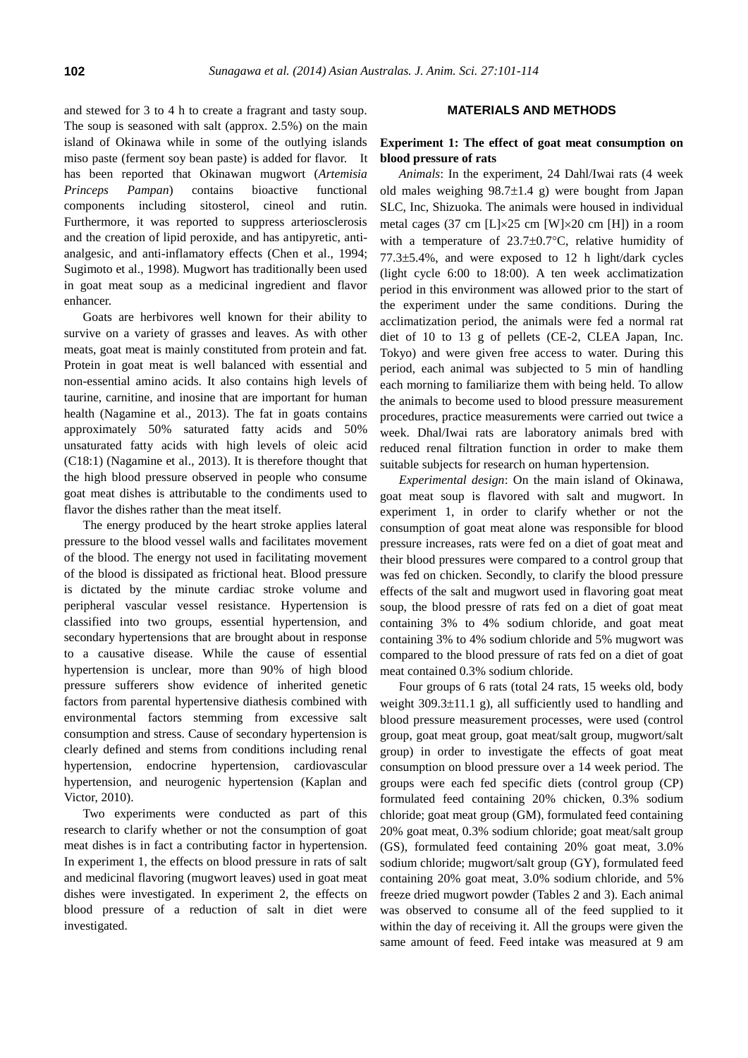and stewed for 3 to 4 h to create a fragrant and tasty soup. The soup is seasoned with salt (approx. 2.5%) on the main island of Okinawa while in some of the outlying islands miso paste (ferment soy bean paste) is added for flavor. It has been reported that Okinawan mugwort (*Artemisia Princeps Pampan*) contains bioactive functional components including sitosterol, cineol and rutin. Furthermore, it was reported to suppress arteriosclerosis and the creation of lipid peroxide, and has antipyretic, antianalgesic, and anti-inflamatory effects (Chen et al., 1994; Sugimoto et al., 1998). Mugwort has traditionally been used in goat meat soup as a medicinal ingredient and flavor enhancer.

Goats are herbivores well known for their ability to survive on a variety of grasses and leaves. As with other meats, goat meat is mainly constituted from protein and fat. Protein in goat meat is well balanced with essential and non-essential amino acids. It also contains high levels of taurine, carnitine, and inosine that are important for human health (Nagamine et al., 2013). The fat in goats contains approximately 50% saturated fatty acids and 50% unsaturated fatty acids with high levels of oleic acid (C18:1) (Nagamine et al., 2013). It is therefore thought that the high blood pressure observed in people who consume goat meat dishes is attributable to the condiments used to flavor the dishes rather than the meat itself.

The energy produced by the heart stroke applies lateral pressure to the blood vessel walls and facilitates movement of the blood. The energy not used in facilitating movement of the blood is dissipated as frictional heat. Blood pressure is dictated by the minute cardiac stroke volume and peripheral vascular vessel resistance. Hypertension is classified into two groups, essential hypertension, and secondary hypertensions that are brought about in response to a causative disease. While the cause of essential hypertension is unclear, more than 90% of high blood pressure sufferers show evidence of inherited genetic factors from parental hypertensive diathesis combined with environmental factors stemming from excessive salt consumption and stress. Cause of secondary hypertension is clearly defined and stems from conditions including renal hypertension, endocrine hypertension, cardiovascular hypertension, and neurogenic hypertension (Kaplan and Victor, 2010).

Two experiments were conducted as part of this research to clarify whether or not the consumption of goat meat dishes is in fact a contributing factor in hypertension. In experiment 1, the effects on blood pressure in rats of salt and medicinal flavoring (mugwort leaves) used in goat meat dishes were investigated. In experiment 2, the effects on blood pressure of a reduction of salt in diet were investigated.

#### **MATERIALS AND METHODS**

### **Experiment 1: The effect of goat meat consumption on blood pressure of rats**

*Animals*: In the experiment, 24 Dahl/Iwai rats (4 week old males weighing  $98.7 \pm 1.4$  g) were bought from Japan SLC, Inc, Shizuoka. The animals were housed in individual metal cages (37 cm  $[L] \times 25$  cm  $[W] \times 20$  cm  $[H]$ ) in a room with a temperature of  $23.7\pm0.7$ °C, relative humidity of  $77.3\pm5.4\%$ , and were exposed to 12 h light/dark cycles (light cycle 6:00 to 18:00). A ten week acclimatization period in this environment was allowed prior to the start of the experiment under the same conditions. During the acclimatization period, the animals were fed a normal rat diet of 10 to 13 g of pellets (CE-2, CLEA Japan, Inc. Tokyo) and were given free access to water. During this period, each animal was subjected to 5 min of handling each morning to familiarize them with being held. To allow the animals to become used to blood pressure measurement procedures, practice measurements were carried out twice a week. Dhal/Iwai rats are laboratory animals bred with reduced renal filtration function in order to make them suitable subjects for research on human hypertension.

*Experimental design*: On the main island of Okinawa, goat meat soup is flavored with salt and mugwort. In experiment 1, in order to clarify whether or not the consumption of goat meat alone was responsible for blood pressure increases, rats were fed on a diet of goat meat and their blood pressures were compared to a control group that was fed on chicken. Secondly, to clarify the blood pressure effects of the salt and mugwort used in flavoring goat meat soup, the blood pressre of rats fed on a diet of goat meat containing 3% to 4% sodium chloride, and goat meat containing 3% to 4% sodium chloride and 5% mugwort was compared to the blood pressure of rats fed on a diet of goat meat contained 0.3% sodium chloride.

Four groups of 6 rats (total 24 rats, 15 weeks old, body weight  $309.3\pm11.1$  g), all sufficiently used to handling and blood pressure measurement processes, were used (control group, goat meat group, goat meat/salt group, mugwort/salt group) in order to investigate the effects of goat meat consumption on blood pressure over a 14 week period. The groups were each fed specific diets (control group (CP) formulated feed containing 20% chicken, 0.3% sodium chloride; goat meat group (GM), formulated feed containing 20% goat meat, 0.3% sodium chloride; goat meat/salt group (GS), formulated feed containing 20% goat meat, 3.0% sodium chloride; mugwort/salt group (GY), formulated feed containing 20% goat meat, 3.0% sodium chloride, and 5% freeze dried mugwort powder (Tables 2 and 3). Each animal was observed to consume all of the feed supplied to it within the day of receiving it. All the groups were given the same amount of feed. Feed intake was measured at 9 am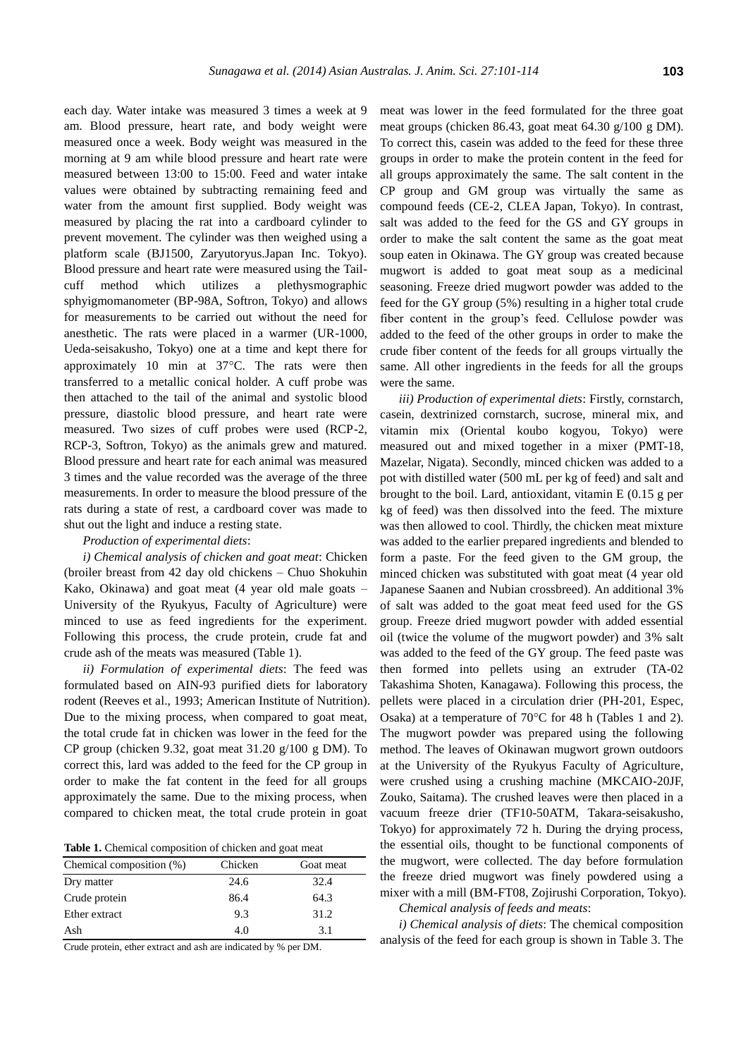each day. Water intake was measured 3 times a week at 9 am. Blood pressure, heart rate, and body weight were measured once a week. Body weight was measured in the morning at 9 am while blood pressure and heart rate were measured between 13:00 to 15:00. Feed and water intake values were obtained by subtracting remaining feed and water from the amount first supplied. Body weight was measured by placing the rat into a cardboard cylinder to prevent movement. The cylinder was then weighed using a platform scale (BJ1500, Zaryutoryus.Japan Inc. Tokyo). Blood pressure and heart rate were measured using the Tailcuff method which utilizes a plethysmographic sphyigmomanometer (BP-98A, Softron, Tokyo) and allows for measurements to be carried out without the need for anesthetic. The rats were placed in a warmer (UR-1000, Ueda-seisakusho, Tokyo) one at a time and kept there for approximately 10 min at  $37^{\circ}$ C. The rats were then transferred to a metallic conical holder. A cuff probe was then attached to the tail of the animal and systolic blood pressure, diastolic blood pressure, and heart rate were measured. Two sizes of cuff probes were used (RCP-2, RCP-3, Softron, Tokyo) as the animals grew and matured. Blood pressure and heart rate for each animal was measured 3 times and the value recorded was the average of the three measurements. In order to measure the blood pressure of the rats during a state of rest, a cardboard cover was made to shut out the light and induce a resting state.

#### *Production of experimental diets*:

*i) Chemical analysis of chicken and goat meat*: Chicken (broiler breast from 42 day old chickens – Chuo Shokuhin Kako, Okinawa) and goat meat (4 year old male goats – University of the Ryukyus, Faculty of Agriculture) were minced to use as feed ingredients for the experiment. Following this process, the crude protein, crude fat and crude ash of the meats was measured (Table 1).

*ii) Formulation of experimental diets*: The feed was formulated based on AIN-93 purified diets for laboratory rodent (Reeves et al., 1993; American Institute of Nutrition). Due to the mixing process, when compared to goat meat, the total crude fat in chicken was lower in the feed for the CP group (chicken 9.32, goat meat 31.20 g/100 g DM). To correct this, lard was added to the feed for the CP group in order to make the fat content in the feed for all groups approximately the same. Due to the mixing process, when compared to chicken meat, the total crude protein in goat

| Table 1. Chemical composition of chicken and goat meat |  |  |  |
|--------------------------------------------------------|--|--|--|
|--------------------------------------------------------|--|--|--|

| Chemical composition (%) | Chicken | Goat meat |
|--------------------------|---------|-----------|
| Dry matter               | 24.6    | 32.4      |
| Crude protein            | 86.4    | 64.3      |
| Ether extract            | 9.3     | 31.2      |
| Ash                      | 4.0     | 3.1       |

Crude protein, ether extract and ash are indicated by % per DM.

meat was lower in the feed formulated for the three goat meat groups (chicken 86.43, goat meat 64.30 g/100 g DM). To correct this, casein was added to the feed for these three groups in order to make the protein content in the feed for all groups approximately the same. The salt content in the CP group and GM group was virtually the same as compound feeds (CE-2, CLEA Japan, Tokyo). In contrast, salt was added to the feed for the GS and GY groups in order to make the salt content the same as the goat meat soup eaten in Okinawa. The GY group was created because mugwort is added to goat meat soup as a medicinal seasoning. Freeze dried mugwort powder was added to the feed for the GY group (5%) resulting in a higher total crude fiber content in the group's feed. Cellulose powder was added to the feed of the other groups in order to make the crude fiber content of the feeds for all groups virtually the same. All other ingredients in the feeds for all the groups were the same.

*iii) Production of experimental diets*: Firstly, cornstarch, casein, dextrinized cornstarch, sucrose, mineral mix, and vitamin mix (Oriental koubo kogyou, Tokyo) were measured out and mixed together in a mixer (PMT-18, Mazelar, Nigata). Secondly, minced chicken was added to a pot with distilled water (500 mL per kg of feed) and salt and brought to the boil. Lard, antioxidant, vitamin E (0.15 g per kg of feed) was then dissolved into the feed. The mixture was then allowed to cool. Thirdly, the chicken meat mixture was added to the earlier prepared ingredients and blended to form a paste. For the feed given to the GM group, the minced chicken was substituted with goat meat (4 year old Japanese Saanen and Nubian crossbreed). An additional 3% of salt was added to the goat meat feed used for the GS group. Freeze dried mugwort powder with added essential oil (twice the volume of the mugwort powder) and 3% salt was added to the feed of the GY group. The feed paste was then formed into pellets using an extruder (TA-02 Takashima Shoten, Kanagawa). Following this process, the pellets were placed in a circulation drier (PH-201, Espec, Osaka) at a temperature of  $70^{\circ}$ C for 48 h (Tables 1 and 2). The mugwort powder was prepared using the following method. The leaves of Okinawan mugwort grown outdoors at the University of the Ryukyus Faculty of Agriculture, were crushed using a crushing machine (MKCAIO-20JF, Zouko, Saitama). The crushed leaves were then placed in a vacuum freeze drier (TF10-50ATM, Takara-seisakusho, Tokyo) for approximately 72 h. During the drying process, the essential oils, thought to be functional components of the mugwort, were collected. The day before formulation the freeze dried mugwort was finely powdered using a mixer with a mill (BM-FT08, Zojirushi Corporation, Tokyo).

#### *Chemical analysis of feeds and meats*:

*i) Chemical analysis of diets*: The chemical composition analysis of the feed for each group is shown in Table 3. The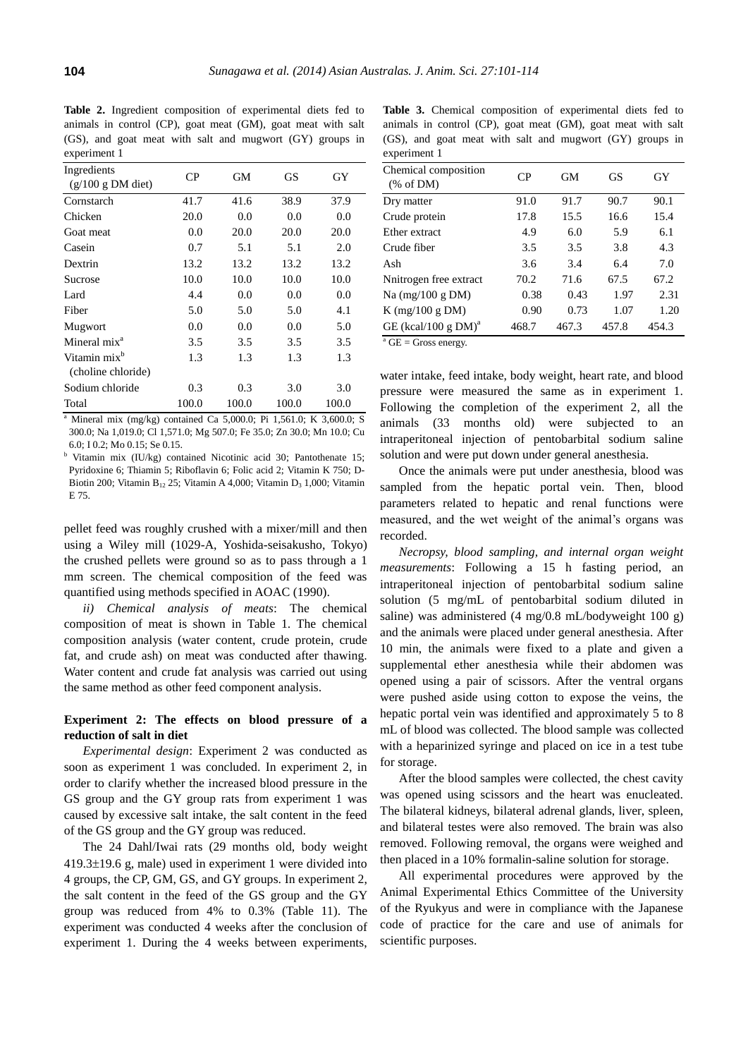**Table 2.** Ingredient composition of experimental diets fed to animals in control (CP), goat meat (GM), goat meat with salt (GS), and goat meat with salt and mugwort (GY) groups in experiment 1

| Ingredients<br>$(g/100 g DM$ diet)             | CP    | GМ    | GS    | GY    |
|------------------------------------------------|-------|-------|-------|-------|
| Cornstarch                                     | 41.7  | 41.6  | 38.9  | 37.9  |
| Chicken                                        | 20.0  | 0.0   | 0.0   | 0.0   |
| Goat meat                                      | 0.0   | 20.0  | 20.0  | 20.0  |
| Casein                                         | 0.7   | 5.1   | 5.1   | 2.0   |
| Dextrin                                        | 13.2  | 13.2  | 13.2  | 13.2  |
| Sucrose                                        | 10.0  | 10.0  | 10.0  | 10.0  |
| Lard                                           | 4.4   | 0.0   | 0.0   | 0.0   |
| Fiber                                          | 5.0   | 5.0   | 5.0   | 4.1   |
| Mugwort                                        | 0.0   | 0.0   | 0.0   | 5.0   |
| Mineral mix <sup>a</sup>                       | 3.5   | 3.5   | 3.5   | 3.5   |
| Vitamin mix <sup>b</sup><br>(choline chloride) | 1.3   | 1.3   | 1.3   | 1.3   |
| Sodium chloride                                | 0.3   | 0.3   | 3.0   | 3.0   |
| Total                                          | 100.0 | 100.0 | 100.0 | 100.0 |

<sup>a</sup> Mineral mix (mg/kg) contained Ca 5,000.0; Pi 1,561.0; K 3,600.0; S 300.0; Na 1,019.0; Cl 1,571.0; Mg 507.0; Fe 35.0; Zn 30.0; Mn 10.0; Cu 6.0; I 0.2; Mo 0.15; Se 0.15.

<sup>b</sup> Vitamin mix (IU/kg) contained Nicotinic acid 30; Pantothenate 15; Pyridoxine 6; Thiamin 5; Riboflavin 6; Folic acid 2; Vitamin K 750; D-Biotin 200; Vitamin B<sub>12</sub> 25; Vitamin A 4,000; Vitamin D<sub>3</sub> 1,000; Vitamin E 75.

pellet feed was roughly crushed with a mixer/mill and then using a Wiley mill (1029-A, Yoshida-seisakusho, Tokyo) the crushed pellets were ground so as to pass through a 1 mm screen. The chemical composition of the feed was quantified using methods specified in AOAC (1990).

*ii) Chemical analysis of meats*: The chemical composition of meat is shown in Table 1. The chemical composition analysis (water content, crude protein, crude fat, and crude ash) on meat was conducted after thawing. Water content and crude fat analysis was carried out using the same method as other feed component analysis.

## **Experiment 2: The effects on blood pressure of a reduction of salt in diet**

*Experimental design*: Experiment 2 was conducted as soon as experiment 1 was concluded. In experiment 2, in order to clarify whether the increased blood pressure in the GS group and the GY group rats from experiment 1 was caused by excessive salt intake, the salt content in the feed of the GS group and the GY group was reduced.

The 24 Dahl/Iwai rats (29 months old, body weight  $419.3\pm19.6$  g, male) used in experiment 1 were divided into 4 groups, the CP, GM, GS, and GY groups. In experiment 2, the salt content in the feed of the GS group and the GY group was reduced from 4% to 0.3% (Table 11). The experiment was conducted 4 weeks after the conclusion of experiment 1. During the 4 weeks between experiments,

**Table 3.** Chemical composition of experimental diets fed to animals in control (CP), goat meat (GM), goat meat with salt (GS), and goat meat with salt and mugwort (GY) groups in experiment 1

| Chemical composition<br>% of DM    | СP    | <b>GM</b> | GS    | GY    |
|------------------------------------|-------|-----------|-------|-------|
| Dry matter                         | 91.0  | 91.7      | 90.7  | 90.1  |
| Crude protein                      | 17.8  | 15.5      | 16.6  | 15.4  |
| Ether extract                      | 4.9   | 6.0       | 5.9   | 6.1   |
| Crude fiber                        | 3.5   | 3.5       | 3.8   | 4.3   |
| Ash                                | 3.6   | 3.4       | 6.4   | 7.0   |
| Nnitrogen free extract             | 70.2  | 71.6      | 67.5  | 67.2  |
| Na (mg/100 g DM)                   | 0.38  | 0.43      | 1.97  | 2.31  |
| $K$ (mg/100 g DM)                  | 0.90  | 0.73      | 1.07  | 1.20  |
| GE (kcal/100 g $DM$ ) <sup>a</sup> | 468.7 | 467.3     | 457.8 | 454.3 |
|                                    |       |           |       |       |

 $a$  GE = Gross energy.

water intake, feed intake, body weight, heart rate, and blood pressure were measured the same as in experiment 1. Following the completion of the experiment 2, all the animals (33 months old) were subjected to an intraperitoneal injection of pentobarbital sodium saline solution and were put down under general anesthesia.

Once the animals were put under anesthesia, blood was sampled from the hepatic portal vein. Then, blood parameters related to hepatic and renal functions were measured, and the wet weight of the animal's organs was recorded.

*Necropsy, blood sampling, and internal organ weight measurements*: Following a 15 h fasting period, an intraperitoneal injection of pentobarbital sodium saline solution (5 mg/mL of pentobarbital sodium diluted in saline) was administered (4 mg/0.8 mL/bodyweight 100 g) and the animals were placed under general anesthesia. After 10 min, the animals were fixed to a plate and given a supplemental ether anesthesia while their abdomen was opened using a pair of scissors. After the ventral organs were pushed aside using cotton to expose the veins, the hepatic portal vein was identified and approximately 5 to 8 mL of blood was collected. The blood sample was collected with a heparinized syringe and placed on ice in a test tube for storage.

After the blood samples were collected, the chest cavity was opened using scissors and the heart was enucleated. The bilateral kidneys, bilateral adrenal glands, liver, spleen, and bilateral testes were also removed. The brain was also removed. Following removal, the organs were weighed and then placed in a 10% formalin-saline solution for storage.

All experimental procedures were approved by the Animal Experimental Ethics Committee of the University of the Ryukyus and were in compliance with the Japanese code of practice for the care and use of animals for scientific purposes.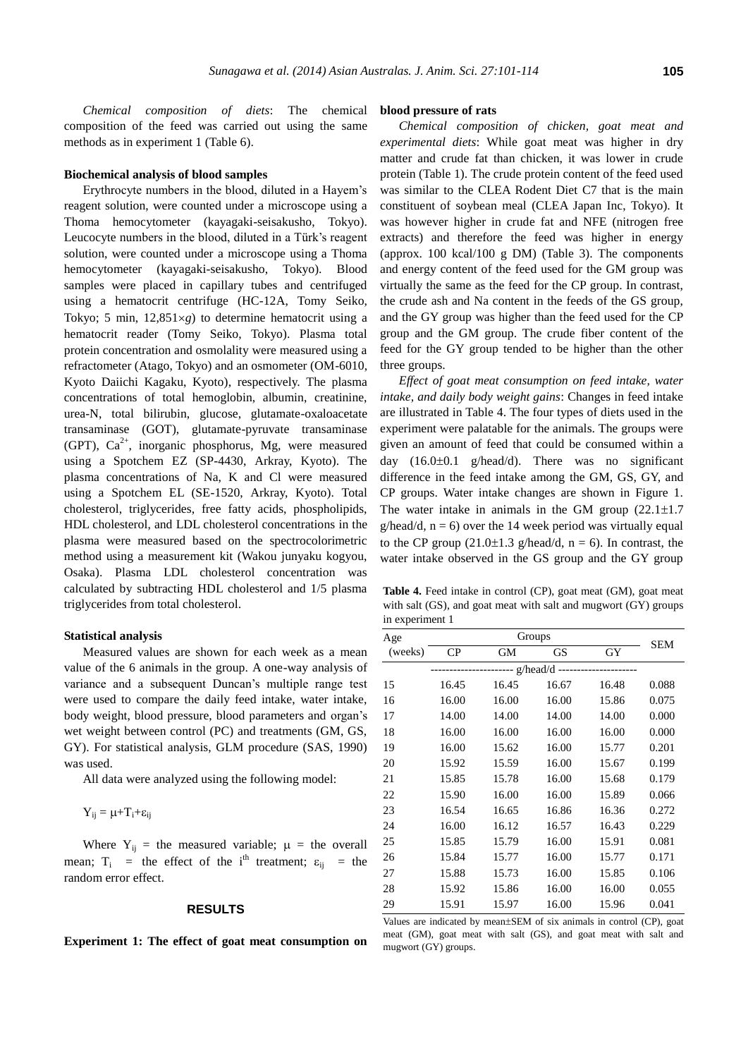*Chemical composition of diets*: The chemical composition of the feed was carried out using the same methods as in experiment 1 (Table 6).

#### **Biochemical analysis of blood samples**

Erythrocyte numbers in the blood, diluted in a Hayem's reagent solution, were counted under a microscope using a Thoma hemocytometer (kayagaki-seisakusho, Tokyo). Leucocyte numbers in the blood, diluted in a Türk's reagent solution, were counted under a microscope using a Thoma hemocytometer (kayagaki-seisakusho, Tokyo). Blood samples were placed in capillary tubes and centrifuged using a hematocrit centrifuge (HC-12A, Tomy Seiko, Tokyo; 5 min,  $12,851\times g$ ) to determine hematocrit using a hematocrit reader (Tomy Seiko, Tokyo). Plasma total protein concentration and osmolality were measured using a refractometer (Atago, Tokyo) and an osmometer (OM-6010, Kyoto Daiichi Kagaku, Kyoto), respectively. The plasma concentrations of total hemoglobin, albumin, creatinine, urea-N, total bilirubin, glucose, glutamate-oxaloacetate transaminase (GOT), glutamate-pyruvate transaminase (GPT),  $Ca^{2+}$ , inorganic phosphorus, Mg, were measured using a Spotchem EZ (SP-4430, Arkray, Kyoto). The plasma concentrations of Na, K and Cl were measured using a Spotchem EL (SE-1520, Arkray, Kyoto). Total cholesterol, triglycerides, free fatty acids, phospholipids, HDL cholesterol, and LDL cholesterol concentrations in the plasma were measured based on the spectrocolorimetric method using a measurement kit (Wakou junyaku kogyou, Osaka). Plasma LDL cholesterol concentration was calculated by subtracting HDL cholesterol and 1/5 plasma triglycerides from total cholesterol.

# **Statistical analysis**

Measured values are shown for each week as a mean value of the 6 animals in the group. A one-way analysis of variance and a subsequent Duncan's multiple range test were used to compare the daily feed intake, water intake, body weight, blood pressure, blood parameters and organ's wet weight between control (PC) and treatments (GM, GS, GY). For statistical analysis, GLM procedure (SAS, 1990) was used.

All data were analyzed using the following model:

$$
Y_{ij} = \mu + T_i + \epsilon_{ij}
$$

Where  $Y_{ij}$  = the measured variable;  $\mu$  = the overall mean;  $T_i$  = the effect of the i<sup>th</sup> treatment;  $\varepsilon_{ij}$  = the random error effect.

#### **RESULTS**

**Experiment 1: The effect of goat meat consumption on** 

## **blood pressure of rats**

*Chemical composition of chicken, goat meat and experimental diets*: While goat meat was higher in dry matter and crude fat than chicken, it was lower in crude protein (Table 1). The crude protein content of the feed used was similar to the CLEA Rodent Diet C7 that is the main constituent of soybean meal (CLEA Japan Inc, Tokyo). It was however higher in crude fat and NFE (nitrogen free extracts) and therefore the feed was higher in energy (approx. 100 kcal/100 g DM) (Table 3). The components and energy content of the feed used for the GM group was virtually the same as the feed for the CP group. In contrast, the crude ash and Na content in the feeds of the GS group, and the GY group was higher than the feed used for the CP group and the GM group. The crude fiber content of the feed for the GY group tended to be higher than the other three groups.

*Effect of goat meat consumption on feed intake, water intake, and daily body weight gains*: Changes in feed intake are illustrated in Table 4. The four types of diets used in the experiment were palatable for the animals. The groups were given an amount of feed that could be consumed within a day  $(16.0\pm0.1 \text{ g/head/d})$ . There was no significant difference in the feed intake among the GM, GS, GY, and CP groups. Water intake changes are shown in Figure 1. The water intake in animals in the GM group  $(22.1 \pm 1.7)$ g/head/d,  $n = 6$ ) over the 14 week period was virtually equal to the CP group  $(21.0\pm1.3 \text{ g/head/d}, n = 6)$ . In contrast, the water intake observed in the GS group and the GY group

**Table 4.** Feed intake in control (CP), goat meat (GM), goat meat with salt (GS), and goat meat with salt and mugwort (GY) groups in experiment 1

| Age     |       | <b>SEM</b>    |       |       |       |
|---------|-------|---------------|-------|-------|-------|
| (weeks) | CP    | GМ            | GS    | GY    |       |
|         |       | ---- g/head/d |       |       |       |
| 15      | 16.45 | 16.45         | 16.67 | 16.48 | 0.088 |
| 16      | 16.00 | 16.00         | 16.00 | 15.86 | 0.075 |
| 17      | 14.00 | 14.00         | 14.00 | 14.00 | 0.000 |
| 18      | 16.00 | 16.00         | 16.00 | 16.00 | 0.000 |
| 19      | 16.00 | 15.62         | 16.00 | 15.77 | 0.201 |
| 20      | 15.92 | 15.59         | 16.00 | 15.67 | 0.199 |
| 21      | 15.85 | 15.78         | 16.00 | 15.68 | 0.179 |
| 22      | 15.90 | 16.00         | 16.00 | 15.89 | 0.066 |
| 23      | 16.54 | 16.65         | 16.86 | 16.36 | 0.272 |
| 24      | 16.00 | 16.12         | 16.57 | 16.43 | 0.229 |
| 25      | 15.85 | 15.79         | 16.00 | 15.91 | 0.081 |
| 26      | 15.84 | 15.77         | 16.00 | 15.77 | 0.171 |
| 27      | 15.88 | 15.73         | 16.00 | 15.85 | 0.106 |
| 28      | 15.92 | 15.86         | 16.00 | 16.00 | 0.055 |
| 29      | 15.91 | 15.97         | 16.00 | 15.96 | 0.041 |

Values are indicated by mean $\pm$ SEM of six animals in control (CP), goat meat (GM), goat meat with salt (GS), and goat meat with salt and mugwort (GY) groups.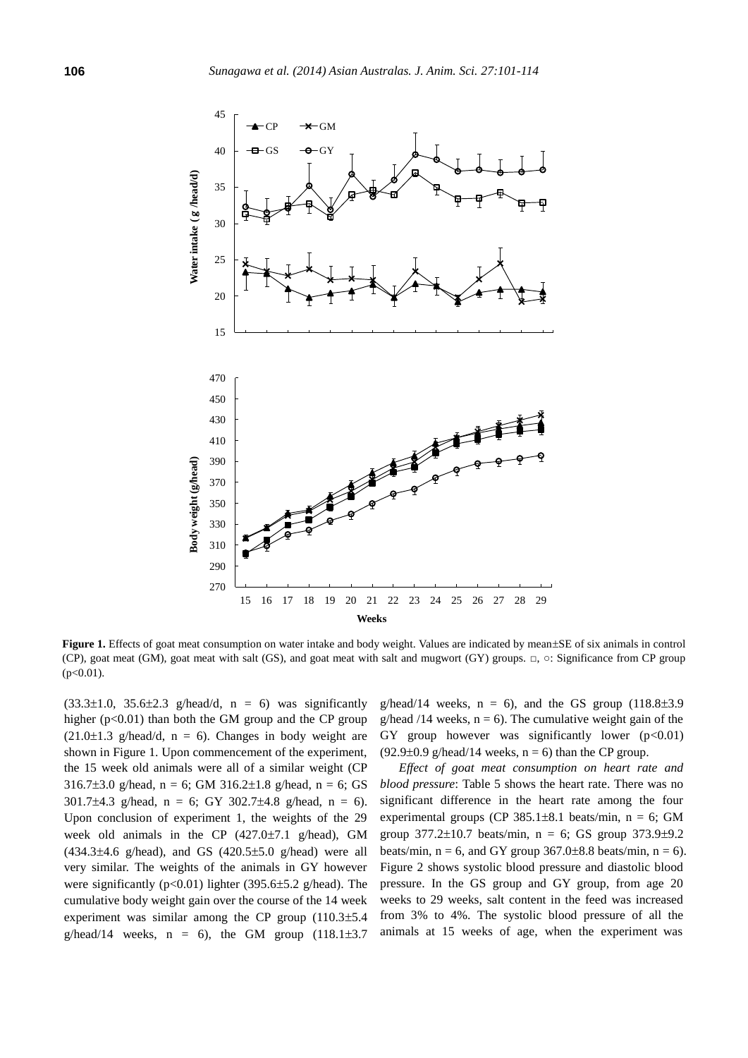

Figure 1. Effects of goat meat consumption on water intake and body weight. Values are indicated by mean±SE of six animals in control (CP), goat meat (GM), goat meat with salt (GS), and goat meat with salt and mugwort (GY) groups. □, ○: Significance from CP group  $(p<0.01)$ .

 $(33.3\pm1.0, 35.6\pm2.3 \text{ g/head/d}, n = 6)$  was significantly higher  $(p<0.01)$  than both the GM group and the CP group  $(21.0\pm1.3 \text{ g/head/d}, n = 6)$ . Changes in body weight are shown in Figure 1. Upon commencement of the experiment, the 15 week old animals were all of a similar weight (CP 316.7 $\pm$ 3.0 g/head, n = 6; GM 316.2 $\pm$ 1.8 g/head, n = 6; GS 301.7 $\pm$ 4.3 g/head, n = 6; GY 302.7 $\pm$ 4.8 g/head, n = 6). Upon conclusion of experiment 1, the weights of the 29 week old animals in the CP  $(427.0\pm7.1 \text{ g/head})$ , GM  $(434.3 \pm 4.6 \text{ g/head})$ , and GS  $(420.5 \pm 5.0 \text{ g/head})$  were all very similar. The weights of the animals in GY however were significantly ( $p<0.01$ ) lighter (395.6 $\pm$ 5.2 g/head). The cumulative body weight gain over the course of the 14 week experiment was similar among the CP group  $(110.3\pm5.4$ g/head/14 weeks,  $n = 6$ ), the GM group  $(118.1\pm3.7$ 

g/head/14 weeks,  $n = 6$ ), and the GS group (118.8 $\pm$ 3.9 g/head /14 weeks,  $n = 6$ ). The cumulative weight gain of the GY group however was significantly lower  $(p<0.01)$  $(92.9\pm0.9 \text{ g/head}/14 \text{ weeks}, n = 6)$  than the CP group.

*Effect of goat meat consumption on heart rate and blood pressure*: Table 5 shows the heart rate. There was no significant difference in the heart rate among the four experimental groups (CP 385.1 $\pm$ 8.1 beats/min, n = 6; GM group  $377.2 \pm 10.7$  beats/min, n = 6; GS group  $373.9 \pm 9.2$ beats/min,  $n = 6$ , and GY group 367.0±8.8 beats/min,  $n = 6$ ). Figure 2 shows systolic blood pressure and diastolic blood pressure. In the GS group and GY group, from age 20 weeks to 29 weeks, salt content in the feed was increased from 3% to 4%. The systolic blood pressure of all the animals at 15 weeks of age, when the experiment was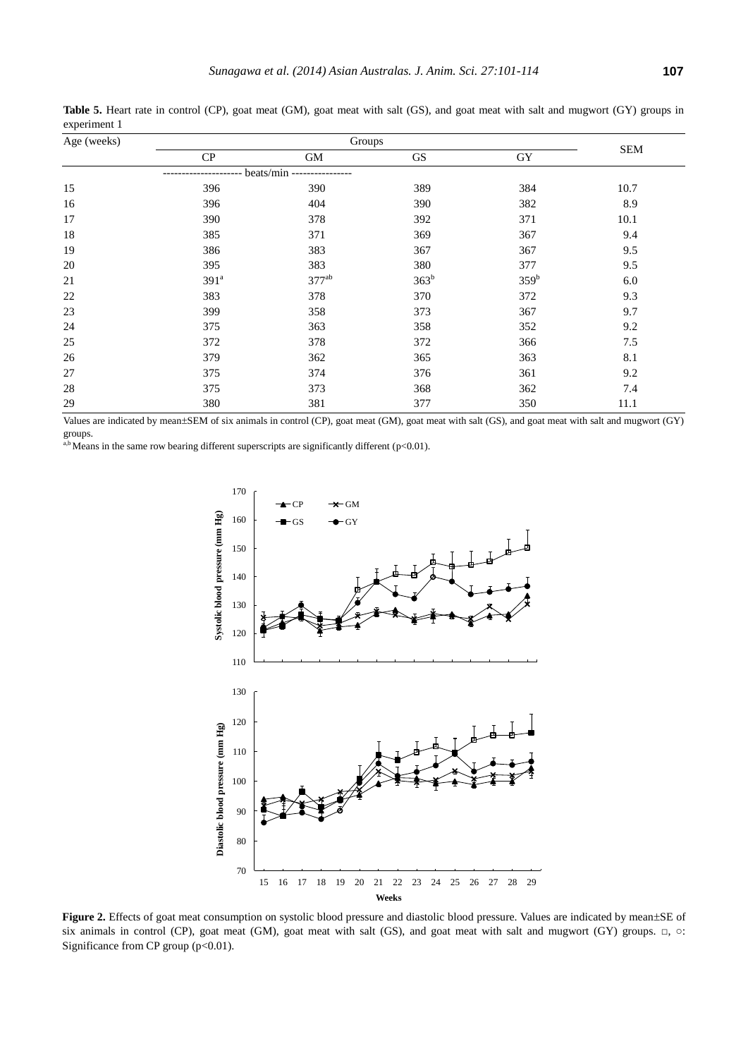| Age (weeks) |                  | Groups     |                  |                  |            |  |  |  |
|-------------|------------------|------------|------------------|------------------|------------|--|--|--|
|             | CP               | GM         | <b>GS</b>        | GY               | <b>SEM</b> |  |  |  |
|             |                  | beats/min  |                  |                  |            |  |  |  |
| 15          | 396              | 390        | 389              | 384              | 10.7       |  |  |  |
| 16          | 396              | 404        | 390              | 382              | 8.9        |  |  |  |
| 17          | 390              | 378        | 392              | 371              | 10.1       |  |  |  |
| 18          | 385              | 371        | 369              | 367              | 9.4        |  |  |  |
| 19          | 386              | 383        | 367              | 367              | 9.5        |  |  |  |
| $20\,$      | 395              | 383        | 380              | 377              | 9.5        |  |  |  |
| 21          | 391 <sup>a</sup> | $377^{ab}$ | 363 <sup>b</sup> | 359 <sup>b</sup> | 6.0        |  |  |  |
| 22          | 383              | 378        | 370              | 372              | 9.3        |  |  |  |
| $23\,$      | 399              | 358        | 373              | 367              | 9.7        |  |  |  |
| 24          | 375              | 363        | 358              | 352              | 9.2        |  |  |  |
| 25          | 372              | 378        | 372              | 366              | $7.5$      |  |  |  |
| 26          | 379              | 362        | 365              | 363              | 8.1        |  |  |  |
| $27\,$      | 375              | 374        | 376              | 361              | 9.2        |  |  |  |
| 28          | 375              | 373        | 368              | 362              | 7.4        |  |  |  |
| 29          | 380              | 381        | 377              | 350              | 11.1       |  |  |  |

**Table 5.** Heart rate in control (CP), goat meat (GM), goat meat with salt (GS), and goat meat with salt and mugwort (GY) groups in experiment 1

Values are indicated by mean±SEM of six animals in control (CP), goat meat (GM), goat meat with salt (GS), and goat meat with salt and mugwort (GY) groups.

a,b Means in the same row bearing different superscripts are significantly different ( $p<0.01$ ).



Figure 2. Effects of goat meat consumption on systolic blood pressure and diastolic blood pressure. Values are indicated by mean±SE of six animals in control (CP), goat meat (GM), goat meat with salt (GS), and goat meat with salt and mugwort (GY) groups. □, ○: Significance from CP group  $(p<0.01)$ .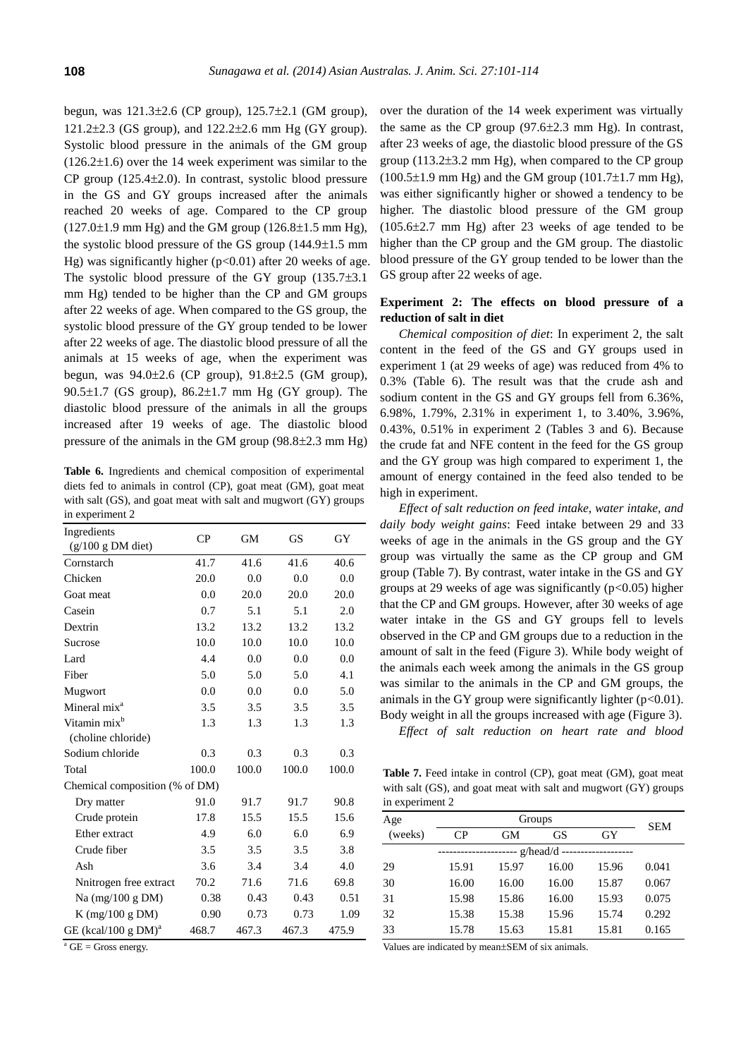begun, was  $121.3 \pm 2.6$  (CP group),  $125.7 \pm 2.1$  (GM group), 121.2 $\pm$ 2.3 (GS group), and 122.2 $\pm$ 2.6 mm Hg (GY group). Systolic blood pressure in the animals of the GM group  $(126.2\pm1.6)$  over the 14 week experiment was similar to the  $CP$  group (125.4 $\pm$ 2.0). In contrast, systolic blood pressure in the GS and GY groups increased after the animals reached 20 weeks of age. Compared to the CP group  $(127.0\pm1.9 \text{ mm Hg})$  and the GM group  $(126.8\pm1.5 \text{ mm Hg})$ , the systolic blood pressure of the GS group  $(144.9\pm1.5 \text{ mm})$ Hg) was significantly higher ( $p<0.01$ ) after 20 weeks of age. The systolic blood pressure of the GY group  $(135.7\pm3.1)$ mm Hg) tended to be higher than the CP and GM groups after 22 weeks of age. When compared to the GS group, the systolic blood pressure of the GY group tended to be lower after 22 weeks of age. The diastolic blood pressure of all the animals at 15 weeks of age, when the experiment was begun, was  $94.0 \pm 2.6$  (CP group),  $91.8 \pm 2.5$  (GM group),  $90.5\pm1.7$  (GS group),  $86.2\pm1.7$  mm Hg (GY group). The diastolic blood pressure of the animals in all the groups increased after 19 weeks of age. The diastolic blood pressure of the animals in the GM group  $(98.8\pm2.3 \text{ mm Hg})$ 

**Table 6.** Ingredients and chemical composition of experimental diets fed to animals in control (CP), goat meat (GM), goat meat with salt (GS), and goat meat with salt and mugwort (GY) groups in experiment 2

| Ingredients                                    |       |       |       |       |
|------------------------------------------------|-------|-------|-------|-------|
| $(g/100 g DM$ diet)                            | CP    | GM    | GS    | GY    |
| Cornstarch                                     | 41.7  | 41.6  | 41.6  | 40.6  |
| Chicken                                        | 20.0  | 0.0   | 0.0   | 0.0   |
| Goat meat                                      | 0.0   | 20.0  | 20.0  | 20.0  |
| Casein                                         | 0.7   | 5.1   | 5.1   | 2.0   |
| Dextrin                                        | 13.2  | 13.2  | 13.2  | 13.2  |
| Sucrose                                        | 10.0  | 10.0  | 10.0  | 10.0  |
| Lard                                           | 4.4   | 0.0   | 0.0   | 0.0   |
| Fiber                                          | 5.0   | 5.0   | 5.0   | 4.1   |
| Mugwort                                        | 0.0   | 0.0   | 0.0   | 5.0   |
| Mineral mix <sup>a</sup>                       | 3.5   | 3.5   | 3.5   | 3.5   |
| Vitamin mix <sup>b</sup><br>(choline chloride) | 1.3   | 1.3   | 1.3   | 1.3   |
| Sodium chloride                                | 0.3   | 0.3   | 0.3   | 0.3   |
| Total                                          | 100.0 | 100.0 | 100.0 | 100.0 |
| Chemical composition (% of DM)                 |       |       |       |       |
| Dry matter                                     | 91.0  | 91.7  | 91.7  | 90.8  |
| Crude protein                                  | 17.8  | 15.5  | 15.5  | 15.6  |
| Ether extract                                  | 4.9   | 6.0   | 6.0   | 6.9   |
| Crude fiber                                    | 3.5   | 3.5   | 3.5   | 3.8   |
| Ash                                            | 3.6   | 3.4   | 3.4   | 4.0   |
| Nnitrogen free extract                         | 70.2  | 71.6  | 71.6  | 69.8  |
| Na $(mg/100 g DM)$                             | 0.38  | 0.43  | 0.43  | 0.51  |
| $K$ (mg/100 g DM)                              | 0.90  | 0.73  | 0.73  | 1.09  |
| GE (kcal/100 g $DM$ ) <sup>a</sup>             | 468.7 | 467.3 | 467.3 | 475.9 |

 $a$  GE = Gross energy.

over the duration of the 14 week experiment was virtually the same as the CP group  $(97.6\pm2.3 \text{ mm Hg})$ . In contrast, after 23 weeks of age, the diastolic blood pressure of the GS group  $(113.2\pm3.2 \text{ mm Hg})$ , when compared to the CP group  $(100.5\pm1.9 \text{ mm Hg})$  and the GM group  $(101.7\pm1.7 \text{ mm Hg})$ , was either significantly higher or showed a tendency to be higher. The diastolic blood pressure of the GM group  $(105.6\pm2.7 \text{ mm Hg})$  after 23 weeks of age tended to be higher than the CP group and the GM group. The diastolic blood pressure of the GY group tended to be lower than the GS group after 22 weeks of age.

## **Experiment 2: The effects on blood pressure of a reduction of salt in diet**

*Chemical composition of diet*: In experiment 2, the salt content in the feed of the GS and GY groups used in experiment 1 (at 29 weeks of age) was reduced from 4% to 0.3% (Table 6). The result was that the crude ash and sodium content in the GS and GY groups fell from 6.36%, 6.98%, 1.79%, 2.31% in experiment 1, to 3.40%, 3.96%, 0.43%, 0.51% in experiment 2 (Tables 3 and 6). Because the crude fat and NFE content in the feed for the GS group and the GY group was high compared to experiment 1, the amount of energy contained in the feed also tended to be high in experiment.

*Effect of salt reduction on feed intake, water intake, and daily body weight gains*: Feed intake between 29 and 33 weeks of age in the animals in the GS group and the GY group was virtually the same as the CP group and GM group (Table 7). By contrast, water intake in the GS and GY groups at 29 weeks of age was significantly  $(p<0.05)$  higher that the CP and GM groups. However, after 30 weeks of age water intake in the GS and GY groups fell to levels observed in the CP and GM groups due to a reduction in the amount of salt in the feed (Figure 3). While body weight of the animals each week among the animals in the GS group was similar to the animals in the CP and GM groups, the animals in the GY group were significantly lighter  $(p<0.01)$ . Body weight in all the groups increased with age (Figure 3).

*Effect of salt reduction on heart rate and blood* 

Table 7. Feed intake in control (CP), goat meat (GM), goat meat with salt (GS), and goat meat with salt and mugwort (GY) groups in experiment 2

| Age     |          | Groups |       |       |       |  |  |
|---------|----------|--------|-------|-------|-------|--|--|
| (weeks) | CP       | GМ     | GS    | GY    | SEM   |  |  |
|         | g/head/d |        |       |       |       |  |  |
| 29      | 15.91    | 15.97  | 16.00 | 15.96 | 0.041 |  |  |
| 30      | 16.00    | 16.00  | 16.00 | 15.87 | 0.067 |  |  |
| 31      | 15.98    | 15.86  | 16.00 | 15.93 | 0.075 |  |  |
| 32      | 15.38    | 15.38  | 15.96 | 15.74 | 0.292 |  |  |
| 33      | 15.78    | 15.63  | 15.81 | 15.81 | 0.165 |  |  |

Values are indicated by mean±SEM of six animals.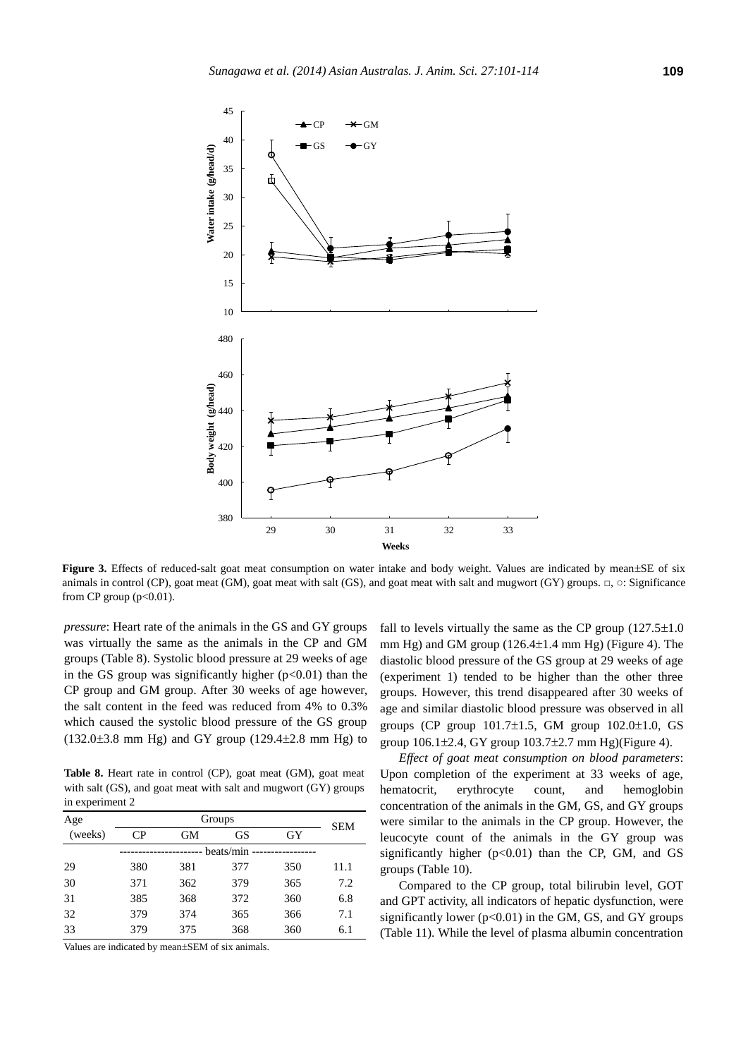

Figure 3. Effects of reduced-salt goat meat consumption on water intake and body weight. Values are indicated by mean±SE of six animals in control (CP), goat meat (GM), goat meat with salt (GS), and goat meat with salt and mugwort (GY) groups. □, ○: Significance from CP group (p<0.01).

*pressure*: Heart rate of the animals in the GS and GY groups was virtually the same as the animals in the CP and GM groups (Table 8). Systolic blood pressure at 29 weeks of age in the GS group was significantly higher  $(p<0.01)$  than the CP group and GM group. After 30 weeks of age however, the salt content in the feed was reduced from 4% to 0.3% which caused the systolic blood pressure of the GS group  $(132.0\pm3.8 \text{ mm Hg})$  and GY group  $(129.4\pm2.8 \text{ mm Hg})$  to

**Table 8.** Heart rate in control (CP), goat meat (GM), goat meat with salt (GS), and goat meat with salt and mugwort (GY) groups in experiment 2

| Age     | Groups |     |           |     | SEM  |
|---------|--------|-----|-----------|-----|------|
| (weeks) | CР     | GМ  | <b>GS</b> | GY  |      |
|         |        |     | beats/min |     |      |
| 29      | 380    | 381 | 377       | 350 | 11.1 |
| 30      | 371    | 362 | 379       | 365 | 7.2  |
| 31      | 385    | 368 | 372       | 360 | 6.8  |
| 32      | 379    | 374 | 365       | 366 | 7.1  |
| 33      | 379    | 375 | 368       | 360 | 6.1  |

Values are indicated by mean±SEM of six animals.

fall to levels virtually the same as the CP group  $(127.5\pm1.0$ mm Hg) and GM group  $(126.4 \pm 1.4 \text{ mm Hg})$  (Figure 4). The diastolic blood pressure of the GS group at 29 weeks of age (experiment 1) tended to be higher than the other three groups. However, this trend disappeared after 30 weeks of age and similar diastolic blood pressure was observed in all groups (CP group  $101.7 \pm 1.5$ , GM group  $102.0 \pm 1.0$ , GS group  $106.1 \pm 2.4$ , GY group  $103.7 \pm 2.7$  mm Hg)(Figure 4).

*Effect of goat meat consumption on blood parameters*: Upon completion of the experiment at 33 weeks of age, hematocrit, erythrocyte count, and hemoglobin concentration of the animals in the GM, GS, and GY groups were similar to the animals in the CP group. However, the leucocyte count of the animals in the GY group was significantly higher (p<0.01) than the CP, GM, and GS groups (Table 10).

Compared to the CP group, total bilirubin level, GOT and GPT activity, all indicators of hepatic dysfunction, were significantly lower ( $p<0.01$ ) in the GM, GS, and GY groups (Table 11). While the level of plasma albumin concentration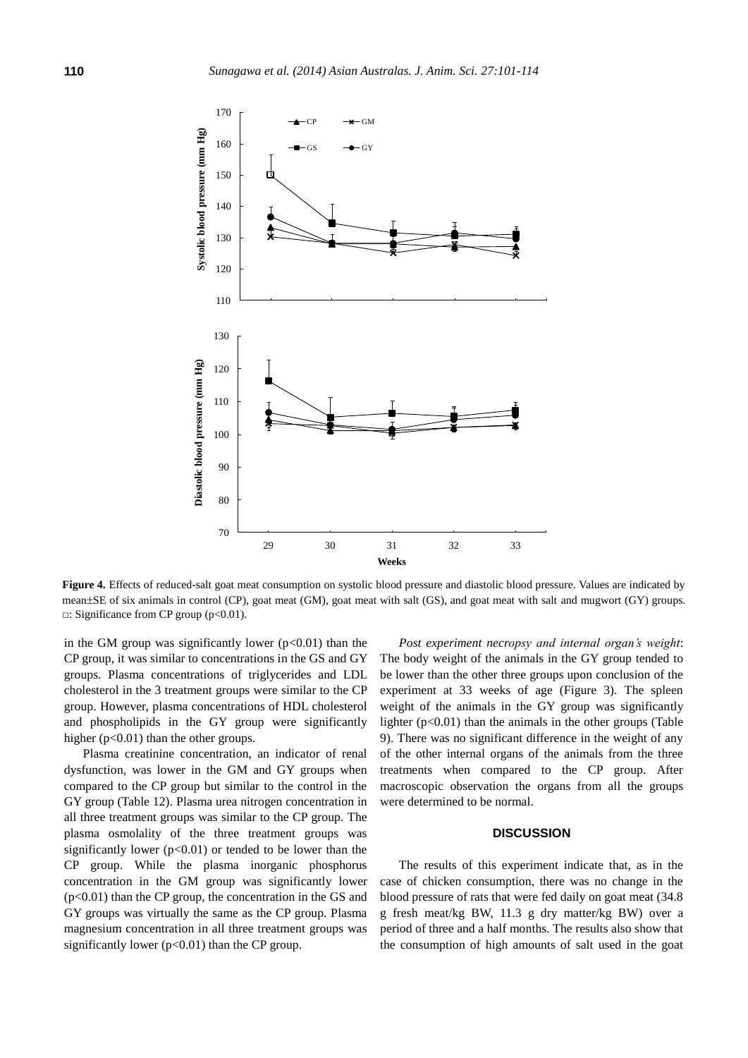

**Figure 4.** Effects of reduced-salt goat meat consumption on systolic blood pressure and diastolic blood pressure. Values are indicated by mean±SE of six animals in control (CP), goat meat (GM), goat meat with salt (GS), and goat meat with salt and mugwort (GY) groups. □: Significance from CP group (p<0.01).

in the GM group was significantly lower  $(p<0.01)$  than the CP group, it was similar to concentrations in the GS and GY groups. Plasma concentrations of triglycerides and LDL cholesterol in the 3 treatment groups were similar to the CP group. However, plasma concentrations of HDL cholesterol and phospholipids in the GY group were significantly higher  $(p<0.01)$  than the other groups.

Plasma creatinine concentration, an indicator of renal dysfunction, was lower in the GM and GY groups when compared to the CP group but similar to the control in the GY group (Table 12). Plasma urea nitrogen concentration in all three treatment groups was similar to the CP group. The plasma osmolality of the three treatment groups was significantly lower ( $p<0.01$ ) or tended to be lower than the CP group. While the plasma inorganic phosphorus concentration in the GM group was significantly lower  $(p<0.01)$  than the CP group, the concentration in the GS and GY groups was virtually the same as the CP group. Plasma magnesium concentration in all three treatment groups was significantly lower  $(p<0.01)$  than the CP group.

*Post experiment necropsy and internal organ's weight*: The body weight of the animals in the GY group tended to be lower than the other three groups upon conclusion of the experiment at 33 weeks of age (Figure 3). The spleen weight of the animals in the GY group was significantly lighter  $(p<0.01)$  than the animals in the other groups (Table 9). There was no significant difference in the weight of any of the other internal organs of the animals from the three treatments when compared to the CP group. After macroscopic observation the organs from all the groups were determined to be normal.

# **DISCUSSION**

The results of this experiment indicate that, as in the case of chicken consumption, there was no change in the blood pressure of rats that were fed daily on goat meat (34.8 g fresh meat/kg BW, 11.3 g dry matter/kg BW) over a period of three and a half months. The results also show that the consumption of high amounts of salt used in the goat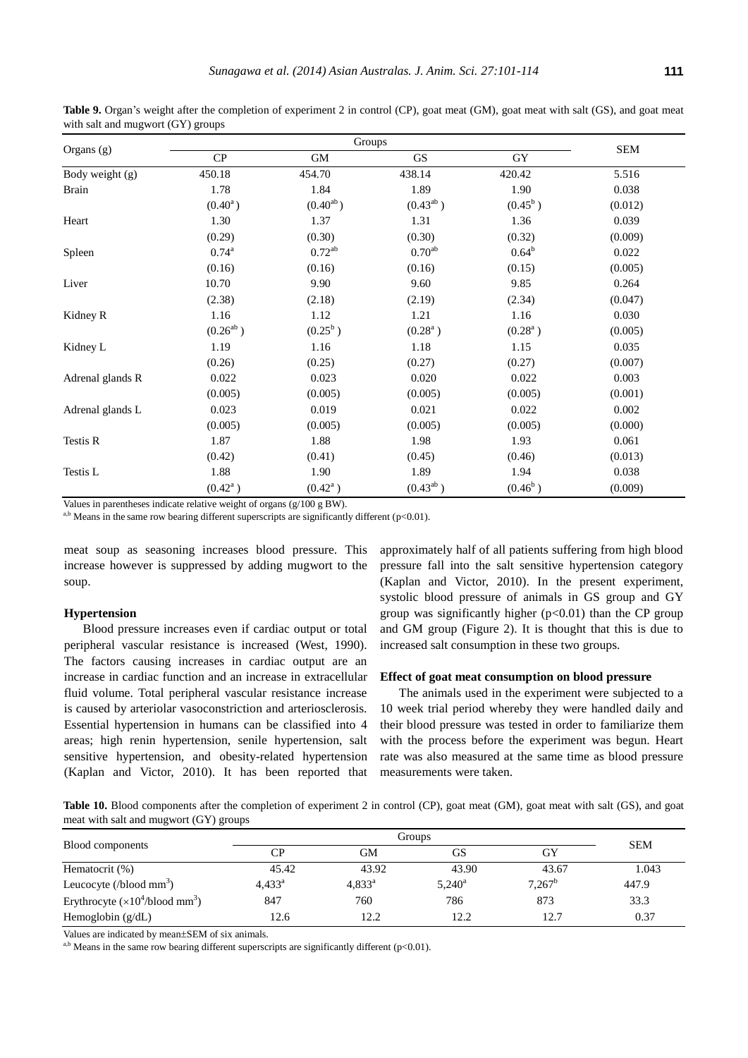Table 9. Organ's weight after the completion of experiment 2 in control (CP), goat meat (GM), goat meat with salt (GS), and goat meat with salt and mugwort (GY) groups

| Organs (g)       | CP            | <b>GM</b>     | GS            | GY             | <b>SEM</b> |
|------------------|---------------|---------------|---------------|----------------|------------|
| Body weight (g)  | 450.18        | 454.70        | 438.14        | 420.42         | 5.516      |
| <b>Brain</b>     | 1.78          | 1.84          | 1.89          | 1.90           | 0.038      |
|                  | $(0.40^a)$    | $(0.40^{ab})$ | $(0.43^{ab})$ | $(0.45^b)$     | (0.012)    |
| Heart            | 1.30          | 1.37          | 1.31          | 1.36           | 0.039      |
|                  | (0.29)        | (0.30)        | (0.30)        | (0.32)         | (0.009)    |
| Spleen           | $0.74^{a}$    | $0.72^{ab}$   | $0.70^{ab}$   | $0.64^{\rm b}$ | 0.022      |
|                  | (0.16)        | (0.16)        | (0.16)        | (0.15)         | (0.005)    |
| Liver            | 10.70         | 9.90          | 9.60          | 9.85           | 0.264      |
|                  | (2.38)        | (2.18)        | (2.19)        | (2.34)         | (0.047)    |
| Kidney R         | 1.16          | 1.12          | 1.21          | 1.16           | 0.030      |
|                  | $(0.26^{ab})$ | $(0.25^b)$    | $(0.28^a)$    | $(0.28^a)$     | (0.005)    |
| Kidney L         | 1.19          | 1.16          | 1.18          | 1.15           | 0.035      |
|                  | (0.26)        | (0.25)        | (0.27)        | (0.27)         | (0.007)    |
| Adrenal glands R | 0.022         | 0.023         | 0.020         | 0.022          | 0.003      |
|                  | (0.005)       | (0.005)       | (0.005)       | (0.005)        | (0.001)    |
| Adrenal glands L | 0.023         | 0.019         | 0.021         | 0.022          | 0.002      |
|                  | (0.005)       | (0.005)       | (0.005)       | (0.005)        | (0.000)    |
| Testis R         | 1.87          | 1.88          | 1.98          | 1.93           | 0.061      |
|                  | (0.42)        | (0.41)        | (0.45)        | (0.46)         | (0.013)    |
| Testis L         | 1.88          | 1.90          | 1.89          | 1.94           | 0.038      |
|                  | $(0.42^a)$    | $(0.42^a)$    | $(0.43^{ab})$ | $(0.46^b)$     | (0.009)    |

Values in parentheses indicate relative weight of organs (g/100 g BW).

 $a,b$  Means in the same row bearing different superscripts are significantly different (p<0.01).

meat soup as seasoning increases blood pressure. This increase however is suppressed by adding mugwort to the soup.

#### **Hypertension**

Blood pressure increases even if cardiac output or total peripheral vascular resistance is increased (West, 1990). The factors causing increases in cardiac output are an increase in cardiac function and an increase in extracellular fluid volume. Total peripheral vascular resistance increase is caused by arteriolar vasoconstriction and arteriosclerosis. Essential hypertension in humans can be classified into 4 areas; high renin hypertension, senile hypertension, salt sensitive hypertension, and obesity-related hypertension (Kaplan and Victor, 2010). It has been reported that

approximately half of all patients suffering from high blood pressure fall into the salt sensitive hypertension category (Kaplan and Victor, 2010). In the present experiment, systolic blood pressure of animals in GS group and GY group was significantly higher  $(p<0.01)$  than the CP group and GM group (Figure 2). It is thought that this is due to increased salt consumption in these two groups.

#### **Effect of goat meat consumption on blood pressure**

The animals used in the experiment were subjected to a 10 week trial period whereby they were handled daily and their blood pressure was tested in order to familiarize them with the process before the experiment was begun. Heart rate was also measured at the same time as blood pressure measurements were taken.

Table 10. Blood components after the completion of experiment 2 in control (CP), goat meat (GM), goat meat with salt (GS), and goat meat with salt and mugwort (GY) groups

| Blood components                                    |                 | <b>SEM</b>      |                 |           |       |
|-----------------------------------------------------|-----------------|-----------------|-----------------|-----------|-------|
|                                                     | CР              | GМ              | GS              | GY        |       |
| Hematocrit (%)                                      | 45.42           | 43.92           | 43.90           | 43.67     | 1.043 |
| Leucocyte (/blood $mm3$ )                           | $4,433^{\circ}$ | $4,833^{\circ}$ | $5,240^{\circ}$ | $7,267^b$ | 447.9 |
| Erythrocyte $(\times 10^4$ /blood mm <sup>3</sup> ) | 847             | 760             | 786             | 873       | 33.3  |
| Hemoglobin $(g/dL)$                                 | 12.6            | 12.2            | 12.2            | 12.7      | 0.37  |

Values are indicated by mean±SEM of six animals.

 $a,b$  Means in the same row bearing different superscripts are significantly different (p<0.01).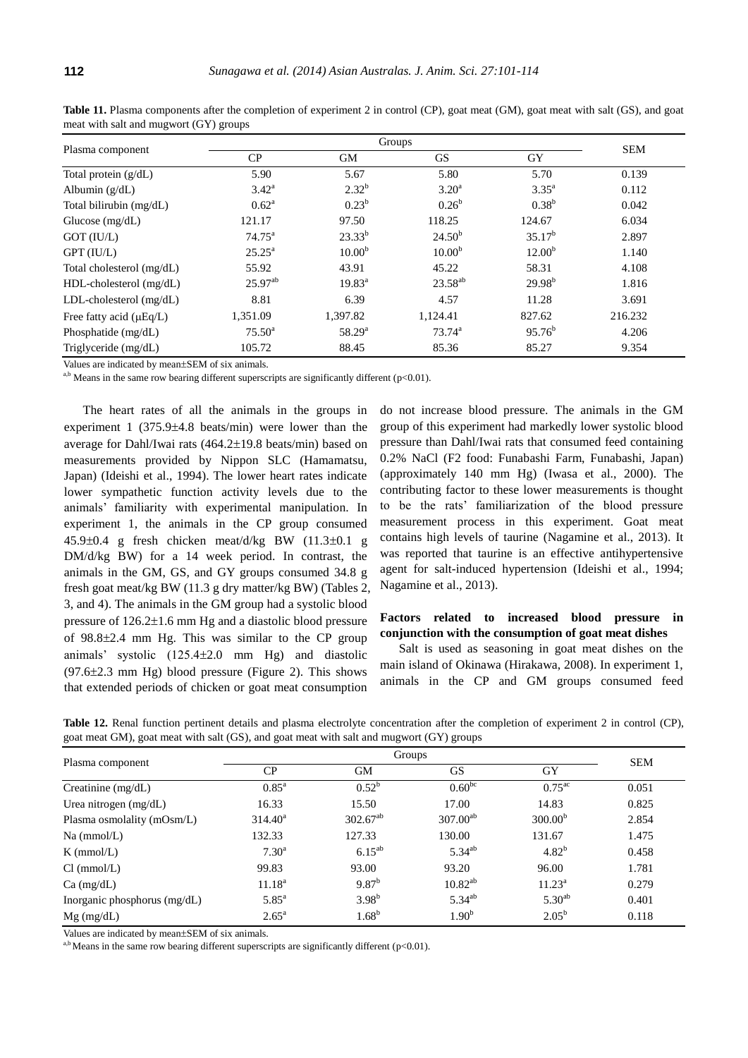|                              |                 | <b>SEM</b>         |                     |                    |         |
|------------------------------|-----------------|--------------------|---------------------|--------------------|---------|
| Plasma component             | CP              | <b>GM</b>          | <b>GS</b>           | <b>GY</b>          |         |
| Total protein $(g/dL)$       | 5.90            | 5.67               | 5.80                | 5.70               | 0.139   |
| Albumin $(g/dL)$             | $3.42^{\rm a}$  | $2.32^{b}$         | $3.20^{\rm a}$      | $3.35^{\rm a}$     | 0.112   |
| Total bilirubin (mg/dL)      | $0.62^{\rm a}$  | $0.23^{b}$         | $0.26^{\rm b}$      | $0.38^{b}$         | 0.042   |
| Glucose $(mg/dL)$            | 121.17          | 97.50              | 118.25              | 124.67             | 6.034   |
| GOT (IU/L)                   | $74.75^{\circ}$ | $23.33^{b}$        | $24.50^{b}$         | $35.17^{b}$        | 2.897   |
| GPT (IU/L)                   | $25.25^{\rm a}$ | 10.00 <sup>b</sup> | 10.00 <sup>b</sup>  | 12.00 <sup>b</sup> | 1.140   |
| Total cholesterol (mg/dL)    | 55.92           | 43.91              | 45.22               | 58.31              | 4.108   |
| HDL-cholesterol (mg/dL)      | $25.97^{ab}$    | $19.83^{\text{a}}$ | 23.58 <sup>ab</sup> | $29.98^{b}$        | 1.816   |
| $LDL$ -cholesterol (mg/dL)   | 8.81            | 6.39               | 4.57                | 11.28              | 3.691   |
| Free fatty acid $(\mu Eq/L)$ | 1,351.09        | 1,397.82           | 1,124.41            | 827.62             | 216.232 |
| Phosphatide (mg/dL)          | $75.50^{\rm a}$ | $58.29^{a}$        | $73.74^{\rm a}$     | $95.76^b$          | 4.206   |
| Triglyceride (mg/dL)         | 105.72          | 88.45              | 85.36               | 85.27              | 9.354   |

Table 11. Plasma components after the completion of experiment 2 in control (CP), goat meat (GM), goat meat with salt (GS), and goat meat with salt and mugwort (GY) groups

Values are indicated by mean±SEM of six animals.

<sup>a,b</sup> Means in the same row bearing different superscripts are significantly different ( $p<0.01$ ).

The heart rates of all the animals in the groups in experiment  $1$  (375.9 $\pm$ 4.8 beats/min) were lower than the average for Dahl/Iwai rats  $(464.2 \pm 19.8 \text{ beats/min})$  based on measurements provided by Nippon SLC (Hamamatsu, Japan) (Ideishi et al., 1994). The lower heart rates indicate lower sympathetic function activity levels due to the animals' familiarity with experimental manipulation. In experiment 1, the animals in the CP group consumed  $45.9\pm0.4$  g fresh chicken meat/d/kg BW  $(11.3\pm0.1)$  g DM/d/kg BW) for a 14 week period. In contrast, the animals in the GM, GS, and GY groups consumed 34.8 g fresh goat meat/kg BW (11.3 g dry matter/kg BW) (Tables 2, 3, and 4). The animals in the GM group had a systolic blood pressure of  $126.2 \pm 1.6$  mm Hg and a diastolic blood pressure of  $98.8 \pm 2.4$  mm Hg. This was similar to the CP group animals' systolic  $(125.4 \pm 2.0 \text{ mm} \text{ Hg})$  and diastolic  $(97.6\pm2.3 \text{ mm Hg})$  blood pressure (Figure 2). This shows that extended periods of chicken or goat meat consumption

do not increase blood pressure. The animals in the GM group of this experiment had markedly lower systolic blood pressure than Dahl/Iwai rats that consumed feed containing 0.2% NaCl (F2 food: Funabashi Farm, Funabashi, Japan) (approximately 140 mm Hg) (Iwasa et al., 2000). The contributing factor to these lower measurements is thought to be the rats' familiarization of the blood pressure measurement process in this experiment. Goat meat contains high levels of taurine (Nagamine et al., 2013). It was reported that taurine is an effective antihypertensive agent for salt-induced hypertension (Ideishi et al., 1994; Nagamine et al., 2013).

## **Factors related to increased blood pressure in conjunction with the consumption of goat meat dishes**

Salt is used as seasoning in goat meat dishes on the main island of Okinawa (Hirakawa, 2008). In experiment 1, animals in the CP and GM groups consumed feed

**Table 12.** Renal function pertinent details and plasma electrolyte concentration after the completion of experiment 2 in control (CP), goat meat GM), goat meat with salt (GS), and goat meat with salt and mugwort (GY) groups

| Plasma component               | Groups              |               |                   |                      | <b>SEM</b> |
|--------------------------------|---------------------|---------------|-------------------|----------------------|------------|
|                                | CP                  | GМ            | <b>GS</b>         | GY                   |            |
| Creatinine $(mg/dL)$           | $0.85^{\rm a}$      | $0.52^b$      | $0.60^{bc}$       | $0.75$ <sup>ac</sup> | 0.051      |
| Urea nitrogen (mg/dL)          | 16.33               | 15.50         | 17.00             | 14.83                | 0.825      |
| Plasma osmolality (mOsm/L)     | $314.40^a$          | $302.67^{ab}$ | $307.00^{ab}$     | 300.00 <sup>b</sup>  | 2.854      |
| $Na$ (mmol/L)                  | 132.33              | 127.33        | 130.00            | 131.67               | 1.475      |
| $K$ (mmol/L)                   | $7.30^{\rm a}$      | $6.15^{ab}$   | $5.34^{ab}$       | $4.82^{b}$           | 0.458      |
| Cl (mmol/L)                    | 99.83               | 93.00         | 93.20             | 96.00                | 1.781      |
| $Ca$ (mg/dL)                   | 11.18 <sup>a</sup>  | $9.87^{b}$    | $10.82^{ab}$      | $11.23^{\rm a}$      | 0.279      |
| Inorganic phosphorus $(mg/dL)$ | $5.85$ <sup>a</sup> | $3.98^{b}$    | $5.34^{ab}$       | $5.30^{ab}$          | 0.401      |
| $Mg$ (mg/dL)                   | $2.65^{\rm a}$      | $1.68^{b}$    | 1.90 <sup>b</sup> | $2.05^{\rm b}$       | 0.118      |

Values are indicated by mean±SEM of six animals.

a,b Means in the same row bearing different superscripts are significantly different ( $p<0.01$ ).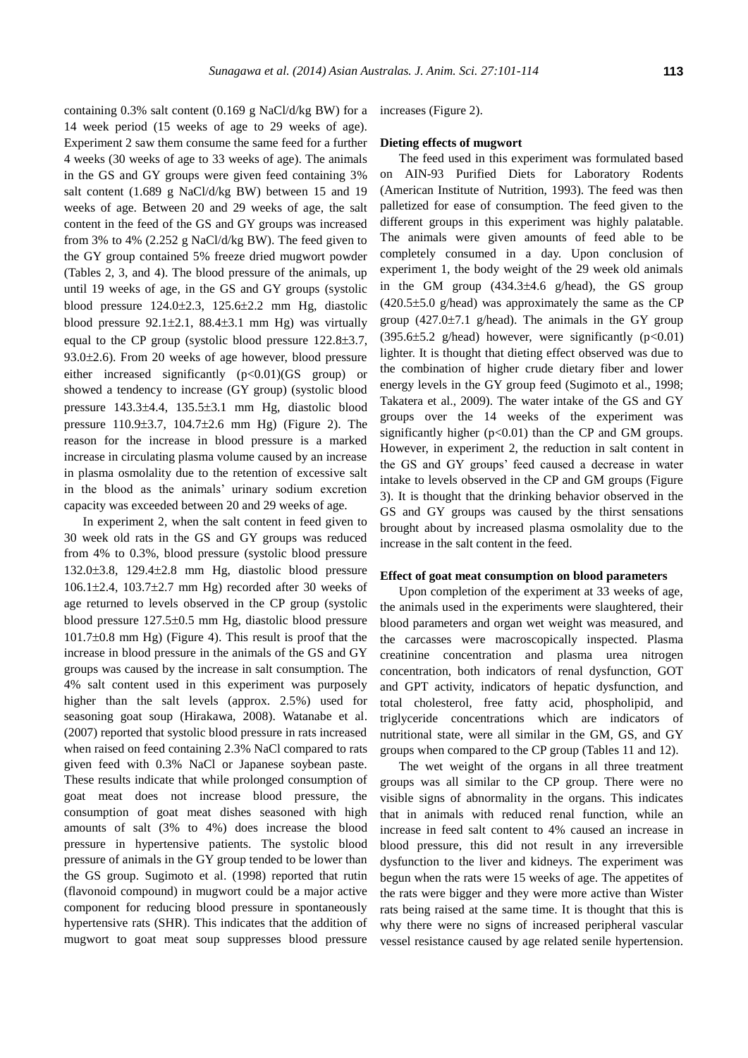containing 0.3% salt content (0.169 g NaCl/d/kg BW) for a 14 week period (15 weeks of age to 29 weeks of age). Experiment 2 saw them consume the same feed for a further 4 weeks (30 weeks of age to 33 weeks of age). The animals in the GS and GY groups were given feed containing 3% salt content (1.689 g NaCl/d/kg BW) between 15 and 19 weeks of age. Between 20 and 29 weeks of age, the salt content in the feed of the GS and GY groups was increased from 3% to 4% (2.252 g NaCl/d/kg BW). The feed given to the GY group contained 5% freeze dried mugwort powder (Tables 2, 3, and 4). The blood pressure of the animals, up until 19 weeks of age, in the GS and GY groups (systolic blood pressure  $124.0\pm 2.3$ ,  $125.6\pm 2.2$  mm Hg, diastolic blood pressure  $92.1 \pm 2.1$ ,  $88.4 \pm 3.1$  mm Hg) was virtually equal to the CP group (systolic blood pressure  $122.8 \pm 3.7$ ,  $93.0\pm2.6$ ). From 20 weeks of age however, blood pressure either increased significantly  $(p<0.01)(GS$  group) or showed a tendency to increase (GY group) (systolic blood pressure  $143.3\pm4.4$ ,  $135.5\pm3.1$  mm Hg, diastolic blood pressure  $110.9 \pm 3.7$ ,  $104.7 \pm 2.6$  mm Hg) (Figure 2). The reason for the increase in blood pressure is a marked increase in circulating plasma volume caused by an increase in plasma osmolality due to the retention of excessive salt in the blood as the animals' urinary sodium excretion capacity was exceeded between 20 and 29 weeks of age.

In experiment 2, when the salt content in feed given to 30 week old rats in the GS and GY groups was reduced from 4% to 0.3%, blood pressure (systolic blood pressure 132.0±3.8, 129.4±2.8 mm Hg, diastolic blood pressure  $106.1\pm2.4$ ,  $103.7\pm2.7$  mm Hg) recorded after 30 weeks of age returned to levels observed in the CP group (systolic blood pressure  $127.5\pm0.5$  mm Hg, diastolic blood pressure  $101.7\pm0.8$  mm Hg) (Figure 4). This result is proof that the increase in blood pressure in the animals of the GS and GY groups was caused by the increase in salt consumption. The 4% salt content used in this experiment was purposely higher than the salt levels (approx. 2.5%) used for seasoning goat soup (Hirakawa, 2008). Watanabe et al. (2007) reported that systolic blood pressure in rats increased when raised on feed containing 2.3% NaCl compared to rats given feed with 0.3% NaCl or Japanese soybean paste. These results indicate that while prolonged consumption of goat meat does not increase blood pressure, the consumption of goat meat dishes seasoned with high amounts of salt (3% to 4%) does increase the blood pressure in hypertensive patients. The systolic blood pressure of animals in the GY group tended to be lower than the GS group. Sugimoto et al. (1998) reported that rutin (flavonoid compound) in mugwort could be a major active component for reducing blood pressure in spontaneously hypertensive rats (SHR). This indicates that the addition of mugwort to goat meat soup suppresses blood pressure

increases (Figure 2).

### **Dieting effects of mugwort**

The feed used in this experiment was formulated based on AIN-93 Purified Diets for Laboratory Rodents (American Institute of Nutrition, 1993). The feed was then palletized for ease of consumption. The feed given to the different groups in this experiment was highly palatable. The animals were given amounts of feed able to be completely consumed in a day. Upon conclusion of experiment 1, the body weight of the 29 week old animals in the GM group  $(434.3 \pm 4.6 \text{ g/head})$ , the GS group  $(420.5\pm5.0)$  g/head) was approximately the same as the CP group  $(427.0 \pm 7.1)$  g/head). The animals in the GY group (395.6 $\pm$ 5.2 g/head) however, were significantly (p<0.01) lighter. It is thought that dieting effect observed was due to the combination of higher crude dietary fiber and lower energy levels in the GY group feed (Sugimoto et al., 1998; Takatera et al., 2009). The water intake of the GS and GY groups over the 14 weeks of the experiment was significantly higher  $(p<0.01)$  than the CP and GM groups. However, in experiment 2, the reduction in salt content in the GS and GY groups' feed caused a decrease in water intake to levels observed in the CP and GM groups (Figure 3). It is thought that the drinking behavior observed in the GS and GY groups was caused by the thirst sensations brought about by increased plasma osmolality due to the increase in the salt content in the feed.

#### **Effect of goat meat consumption on blood parameters**

Upon completion of the experiment at 33 weeks of age, the animals used in the experiments were slaughtered, their blood parameters and organ wet weight was measured, and the carcasses were macroscopically inspected. Plasma creatinine concentration and plasma urea nitrogen concentration, both indicators of renal dysfunction, GOT and GPT activity, indicators of hepatic dysfunction, and total cholesterol, free fatty acid, phospholipid, and triglyceride concentrations which are indicators of nutritional state, were all similar in the GM, GS, and GY groups when compared to the CP group (Tables 11 and 12).

The wet weight of the organs in all three treatment groups was all similar to the CP group. There were no visible signs of abnormality in the organs. This indicates that in animals with reduced renal function, while an increase in feed salt content to 4% caused an increase in blood pressure, this did not result in any irreversible dysfunction to the liver and kidneys. The experiment was begun when the rats were 15 weeks of age. The appetites of the rats were bigger and they were more active than Wister rats being raised at the same time. It is thought that this is why there were no signs of increased peripheral vascular vessel resistance caused by age related senile hypertension.